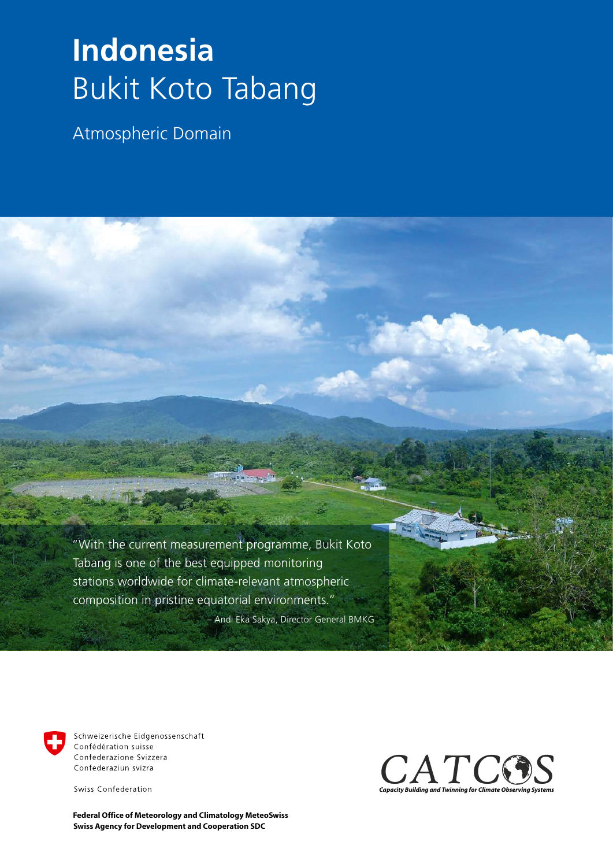## **Indonesia** Bukit Koto Tabang

Atmospheric Domain

 "With the current measurement programme, Bukit Koto Tabang is one of the best equipped monitoring stations worldwide for climate-relevant atmospheric composition in pristine equatorial environments."

– Andi Eka Sakya, Director General BMKG



Schweizerische Eidgenossenschaft Confédération suisse Confederazione Svizzera Confederaziun svizra

Swiss Confederation

**Swiss Agency for Development and Cooperation SDC Federal Office of Meteorology and Climatology MeteoSwiss**